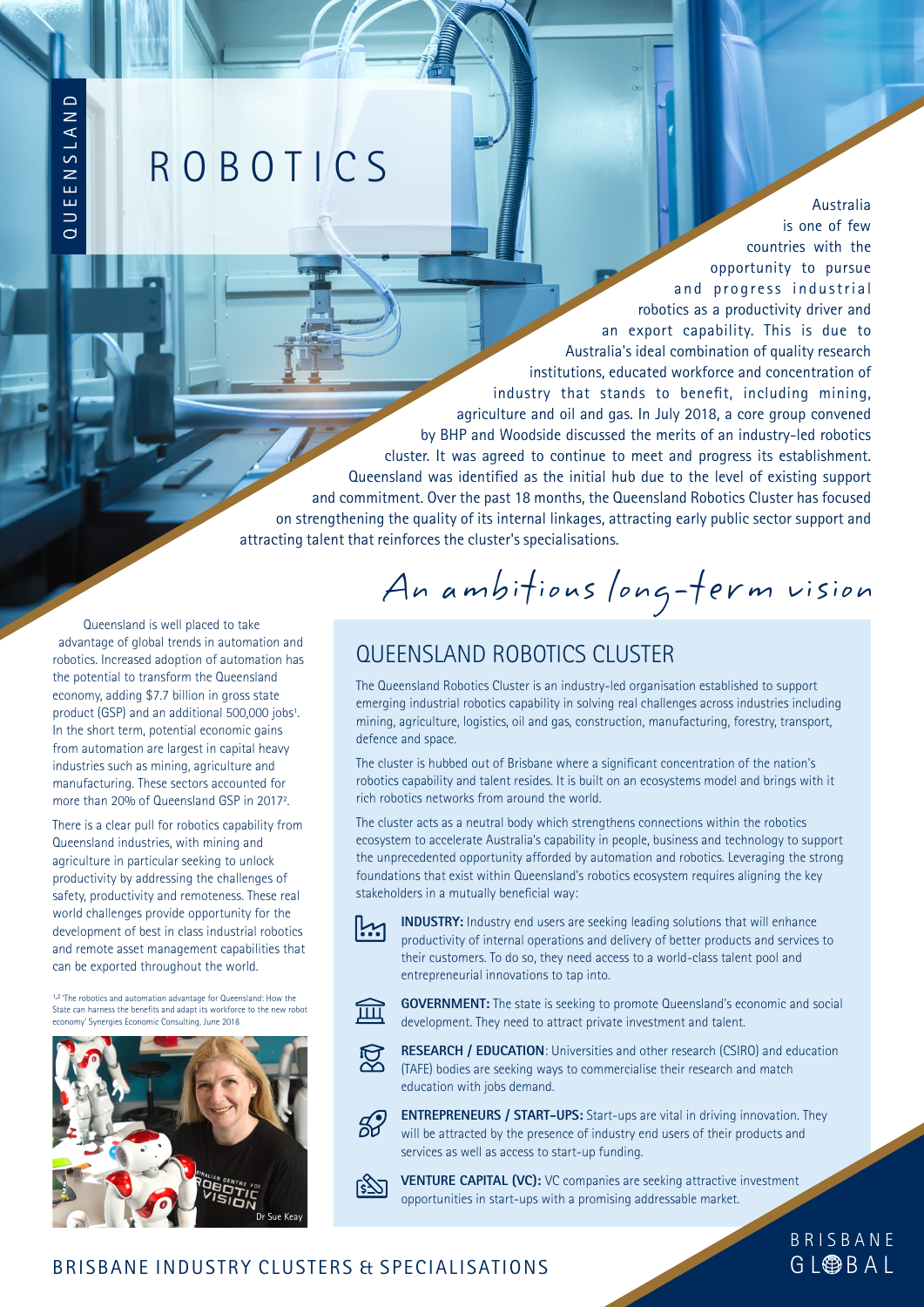# **ROBOTICS**

countries with the opportunity to pursue and progress industrial robotics as a productivity driver and an export capability. This is due to Australia's ideal combination of quality research institutions, educated workforce and concentration of industry that stands to benefit, including mining, agriculture and oil and gas. In July 2018, a core group convened by BHP and Woodside discussed the merits of an industry-led robotics cluster. It was agreed to continue to meet and progress its establishment. Queensland was identified as the initial hub due to the level of existing support and commitment. Over the past 18 months, the Queensland Robotics Cluster has focused on strengthening the quality of its internal linkages, attracting early public sector support and attracting talent that reinforces the cluster's specialisations.

Queensland is well placed to take advantage of global trends in automation and robotics. Increased adoption of automation has the potential to transform the Queensland economy, adding \$7.7 billion in gross state product (GSP) and an additional 500,000 jobs<sup>1</sup>. In the short term, potential economic gains from automation are largest in capital heavy industries such as mining, agriculture and manufacturing. These sectors accounted for more than 20% of Queensland GSP in 2017.

 $\overline{\Omega}$  $\Rightarrow$ E E N

S L A N $\mathop{\Box}$ 

There is a clear pull for robotics capability from Queensland industries, with mining and agriculture in particular seeking to unlock productivity by addressing the challenges of safety, productivity and remoteness. These real world challenges provide opportunity for the development of best in class industrial robotics and remote asset management capabilities that can be exported throughout the world.

1,2 'The robotics and automation advantage for Queensland: How the State can harness the benefits and adapt its workforce to the new robot economy' Synergies Economic Consulting, June 2018



An ambitious long-term vision

### QUEENSLAND ROBOTICS CLUSTER

The Queensland Robotics Cluster is an industry-led organisation established to support emerging industrial robotics capability in solving real challenges across industries including mining, agriculture, logistics, oil and gas, construction, manufacturing, forestry, transport, defence and space.

The cluster is hubbed out of Brisbane where a significant concentration of the nation's robotics capability and talent resides. It is built on an ecosystems model and brings with it rich robotics networks from around the world.

The cluster acts as a neutral body which strengthens connections within the robotics ecosystem to accelerate Australia's capability in people, business and technology to support the unprecedented opportunity afforded by automation and robotics. Leveraging the strong foundations that exist within Queensland's robotics ecosystem requires aligning the key stakeholders in a mutually beneficial way:



**INDUSTRY:** Industry end users are seeking leading solutions that will enhance productivity of internal operations and delivery of better products and services to their customers. To do so, they need access to a world-class talent pool and entrepreneurial innovations to tap into.



**GOVERNMENT:** The state is seeking to promote Queensland's economic and social development. They need to attract private investment and talent.



**FORESEARCH / EDUCATION:** Universities and other research (CSIRO) and education (TAFE) bodies are seeking ways to commercialise their research and match education with jobs demand.



**ENTREPRENEURS / START-UPS:** Start-ups are vital in driving innovation. They will be attracted by the presence of industry end users of their products and services as well as access to start-up funding.



**VENTURE CAPITAL (VC):** VC companies are seeking attractive investment opportunities in start-ups with a promising addressable market.

> G L**OBBAL** B R I S B A N E

Australia is one of few

#### BRISBANE INDUSTRY CLUSTERS & SPECIALISATIONS